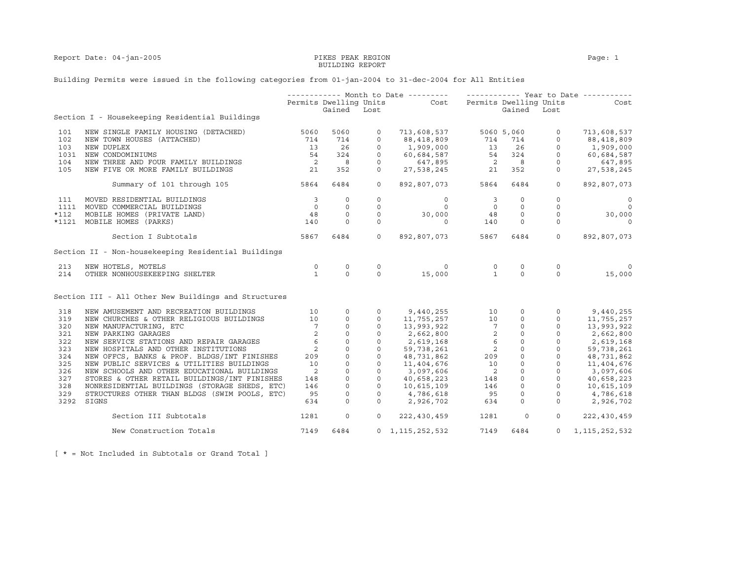Report Date: 04-jan-2005 PIKES PEAK REGION Page: 1

### BUILDING REPORT

### Building Permits were issued in the following categories from 01-jan-2004 to 31-dec-2004 for All Entities

|        |                                                      |                            |                |              | ----------- Month to Date ---------     ------------ Year to Date -----------                       |                          |               |                                                                                          |                          |
|--------|------------------------------------------------------|----------------------------|----------------|--------------|-----------------------------------------------------------------------------------------------------|--------------------------|---------------|------------------------------------------------------------------------------------------|--------------------------|
|        |                                                      | Permits Dwelling Units     |                |              | Cost Permits Dwelling Units                                                                         |                          |               |                                                                                          | Cost                     |
|        |                                                      |                            | Gained Lost    |              |                                                                                                     |                          | Gained Lost   |                                                                                          |                          |
|        | Section I - Housekeeping Residential Buildings       |                            |                |              |                                                                                                     |                          |               |                                                                                          |                          |
| 101    | NEW SINGLE FAMILY HOUSING (DETACHED)                 | 5060                       | 5060           | $\circ$      | 713,608,537                                                                                         |                          | 5060 5,060    | $\circ$                                                                                  | 713,608,537              |
| 102    | NEW TOWN HOUSES (ATTACHED)                           | 714                        | 714            | $\circ$      |                                                                                                     |                          |               | $\circ$                                                                                  | 88,418,809               |
| 103    | NEW DUPLEX                                           | 13                         | 26             | $\mathsf{O}$ |                                                                                                     |                          |               | $\circ$                                                                                  | 1,909,000                |
| 1031   | NEW CONDOMINIUMS                                     | 54                         | 324            | $\circ$      |                                                                                                     |                          |               | $\overline{0}$                                                                           | 60,684,587               |
| 104    | NEW THREE AND FOUR FAMILY BUILDINGS                  | $\overline{\phantom{a}}$   | 8 <sup>8</sup> | $\circ$      |                                                                                                     |                          |               | $\circ$                                                                                  | 647,895                  |
| 105    | NEW FIVE OR MORE FAMILY BUILDINGS                    | 21                         | 352            | $\circ$      | 88, 418, 809<br>1, 909, 000<br>1, 909, 000<br>60, 684, 587<br>647, 895<br>27, 538, 245<br>21<br>352 |                          |               | $\circ$                                                                                  | 27,538,245               |
|        | Summary of 101 through 105                           | 5864                       | 6484           | $\circ$      | 892,807,073 5864                                                                                    |                          | 6484          | $\overline{0}$                                                                           | 892,807,073              |
| 111    | MOVED RESIDENTIAL BUILDINGS                          | $\overline{\mathbf{3}}$    | $\circ$        | $\circ$      | $\circ$                                                                                             | $\overline{\phantom{a}}$ | $\circ$       | $\circ$                                                                                  | $\overline{\phantom{0}}$ |
|        | 1111 MOVED COMMERCIAL BUILDINGS                      | $\frac{3}{0}$              | $\circ$        | $\circ$      | $\Omega$                                                                                            | $\overline{0}$           | $\Omega$      | $\Omega$                                                                                 | $\overline{0}$           |
| $*112$ | MOBILE HOMES (PRIVATE LAND)                          | 48                         | $\circ$        |              | $0 \t 30,000$                                                                                       | 48                       | $\circ$       | $\circ$                                                                                  | 30,000                   |
|        | *1121 MOBILE HOMES (PARKS)                           | 140                        | $\Omega$       | $\Omega$     | $\circ$                                                                                             | 140                      | $\circ$       | $\circ$                                                                                  | $\circ$                  |
|        | Section I Subtotals                                  | 5867                       | 6484           |              | $0 \qquad 892, 807, 073$                                                                            | 5867                     | 6484          | $\overline{0}$                                                                           | 892,807,073              |
|        | Section II - Non-housekeeping Residential Buildings  |                            |                |              |                                                                                                     |                          |               |                                                                                          |                          |
| 213    | NEW HOTELS, MOTELS                                   | $\circ$                    | 0              | $\circ$      | $\overline{0}$                                                                                      | 0                        | 0             | $\circ$                                                                                  | $\circ$                  |
| 214    | OTHER NONHOUSEKEEPING SHELTER                        | $\overline{1}$             | $\Omega$       | $\Omega$     | 15,000                                                                                              |                          | $\Omega$      | $\Omega$                                                                                 | 15,000                   |
|        | Section III - All Other New Buildings and Structures |                            |                |              |                                                                                                     |                          |               |                                                                                          |                          |
| 318    | NEW AMUSEMENT AND RECREATION BUILDINGS               | 10                         | $\circ$        | $\circ$      | 9,440,255                                                                                           |                          | 10<br>$\circ$ | $\overline{0}$                                                                           | 9,440,255                |
| 319    | NEW CHURCHES & OTHER RELIGIOUS BUILDINGS             | 10                         | $\circ$        | $\circ$      | 11,755,257                                                                                          |                          | 10            |                                                                                          | 11,755,257               |
| 320    | NEW MANUFACTURING, ETC                               | $7\overline{ }$            | $\mathbb O$    | $\mathbf 0$  | 13,993,922                                                                                          | $7\phantom{0}$           |               |                                                                                          | 13,993,922               |
| 321    | NEW PARKING GARAGES                                  | $\overline{a}$             | $\circ$        | $\circ$      | 2,662,800                                                                                           | $\overline{a}$           |               |                                                                                          | 2,662,800                |
| 322    | NEW SERVICE STATIONS AND REPAIR GARAGES              | 6                          | $\circ$        | $\circ$      | 2,619,168                                                                                           |                          |               |                                                                                          | 2,619,168                |
| 323    | NEW HOSPITALS AND OTHER INSTITUTIONS                 | $\overline{\phantom{0}}$   | $\mathbf 0$    | $\circ$      | 59,738,261                                                                                          | $rac{6}{2}$              |               |                                                                                          | 59,738,261               |
| 324    | NEW OFFCS, BANKS & PROF. BLDGS/INT FINISHES          | 209                        | $\circ$        | $\circ$      | 48,731,862                                                                                          | 209                      |               |                                                                                          | 48,731,862               |
| 325    | NEW PUBLIC SERVICES & UTILITIES BUILDINGS            | 10                         | $\circ$        | $\circ$      | 11,404,676                                                                                          | 10                       |               |                                                                                          | 11,404,676               |
| 326    | NEW SCHOOLS AND OTHER EDUCATIONAL BUILDINGS          | $\overline{\phantom{0}}^2$ | $\circ$        | $\circ$      | 3,097,606                                                                                           | $\overline{\phantom{0}}$ |               |                                                                                          | 3,097,606                |
| 327    | STORES & OTHER RETAIL BUILDINGS/INT FINISHES         | 148                        | $\circ$        | $\circ$      | 40,658,223                                                                                          | 148                      |               |                                                                                          | 40,658,223               |
| 328    | NONRESIDENTIAL BUILDINGS (STORAGE SHEDS, ETC)        | 146                        | $\circ$        | $\circ$      | 10,615,109                                                                                          | 146                      |               |                                                                                          | 10,615,109               |
| 329    | STRUCTURES OTHER THAN BLDGS (SWIM POOLS, ETC)        | 95                         | $\circ$        | $\circ$      | 4,786,618                                                                                           | 95                       |               |                                                                                          | 4,786,618                |
| 3292   | SIGNS                                                | 634                        | $\Omega$       | $\circ$      | 2,926,702                                                                                           | 634                      | $\circ$       | $\begin{bmatrix} 0 & 0 & 0 \ 0 & 0 & 0 \ 0 & 0 & 0 \ 0 & 0 & 0 \end{bmatrix}$<br>$\circ$ | 2,926,702                |
|        | Section III Subtotals                                | 1281                       | $\mathbf{0}$   | $\circ$      | 222,430,459                                                                                         | 1281                     | $\circ$       | $\circ$                                                                                  | 222,430,459              |
|        | New Construction Totals                              | 7149                       | 6484           |              | $0 \quad 1,115,252,532$                                                                             | 7149                     | 6484          |                                                                                          | $0 \quad 1,115,252,532$  |

[ \* = Not Included in Subtotals or Grand Total ]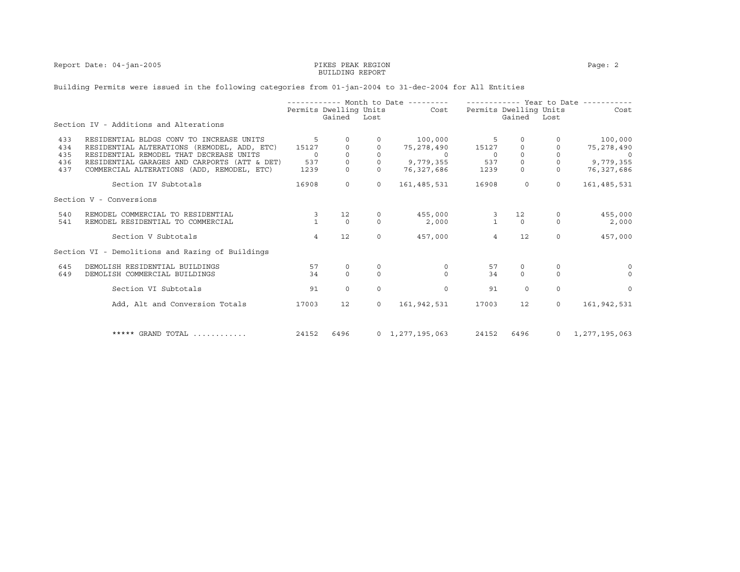Report Date: 04-jan-2005 PIKES PEAK REGION Page: 2

# BUILDING REPORT

### Building Permits were issued in the following categories from 01-jan-2004 to 31-dec-2004 for All Entities

|     |                                                  |                |                        |          | ----------- Month to Date --------- |                |                        | ----------- Year to Date ----- |               |
|-----|--------------------------------------------------|----------------|------------------------|----------|-------------------------------------|----------------|------------------------|--------------------------------|---------------|
|     |                                                  |                | Permits Dwelling Units |          | Cost                                |                | Permits Dwelling Units |                                | Cost          |
|     | Section IV - Additions and Alterations           |                | Gained                 | Lost     |                                     |                | Gained                 | Lost                           |               |
| 433 | RESIDENTIAL BLDGS CONV TO INCREASE UNITS         | .5             | $\Omega$               |          | 100,000                             | 5              | $\Omega$               |                                | 100,000       |
| 434 | RESIDENTIAL ALTERATIONS (REMODEL, ADD, ETC)      | 15127          |                        |          | 75, 278, 490                        | 15127          | $\mathsf{O}$           |                                | 75,278,490    |
| 435 | RESIDENTIAL REMODEL THAT DECREASE UNITS          | $\Omega$       | $\Omega$               | $\Omega$ | $\sim$ 0                            | $\Omega$       | $\Omega$               | $\Omega$                       |               |
| 436 | RESIDENTIAL GARAGES AND CARPORTS (ATT & DET)     | 537            | $\circ$                |          | 9,779,355                           | 537            | $\circ$                |                                | 9,779,355     |
| 437 | COMMERCIAL ALTERATIONS (ADD, REMODEL, ETC)       | 1239           | $\Omega$               |          | 76,327,686                          | 1239           | $\mathsf{O}$           | $\circ$                        | 76,327,686    |
|     | Section IV Subtotals                             | 16908          | $\Omega$               | $\Omega$ | 161, 485, 531                       | 16908          | $\Omega$               | $\Omega$                       | 161,485,531   |
|     | Section V - Conversions                          |                |                        |          |                                     |                |                        |                                |               |
| 540 | REMODEL COMMERCIAL TO RESIDENTIAL                | 3              | 12                     | $\Omega$ | 455,000                             |                | 12                     | $\circ$                        | 455,000       |
| 541 | REMODEL RESIDENTIAL TO COMMERCIAL                | $\mathbf{1}$   | $\Omega$               | $\Omega$ | 2,000                               | $\mathbf{1}$   | $\Omega$               | $\Omega$                       | 2,000         |
|     | Section V Subtotals                              | $\overline{4}$ | 12                     | $\Omega$ | 457,000                             | $\overline{4}$ | 12                     | $\Omega$                       | 457,000       |
|     | Section VI - Demolitions and Razing of Buildings |                |                        |          |                                     |                |                        |                                |               |
| 645 | DEMOLISH RESIDENTIAL BUILDINGS                   | 57             | $\circ$                | $\Omega$ | $\circ$                             | 57             | $\circ$                | $\circ$                        | $\Omega$      |
| 649 | DEMOLISH COMMERCIAL BUILDINGS                    | 34             | $\Omega$               | $\Omega$ | $\Omega$                            | 34             | $\Omega$               | $\Omega$                       | $\Omega$      |
|     | Section VI Subtotals                             | 91             | $\Omega$               | $\Omega$ | $\Omega$                            | 91             | $\Omega$               | $\Omega$                       | $\Omega$      |
|     | Add, Alt and Conversion Totals                   | 17003          | 12                     | $\circ$  | 161,942,531                         | 17003          | 12                     | $\Omega$                       | 161,942,531   |
|     |                                                  |                |                        |          |                                     |                |                        |                                |               |
|     | ***** GRAND TOTAL                                | 24152          | 6496                   |          | $0 \quad 1,277,195,063$             | 24152          | 6496                   | $\circ$                        | 1,277,195,063 |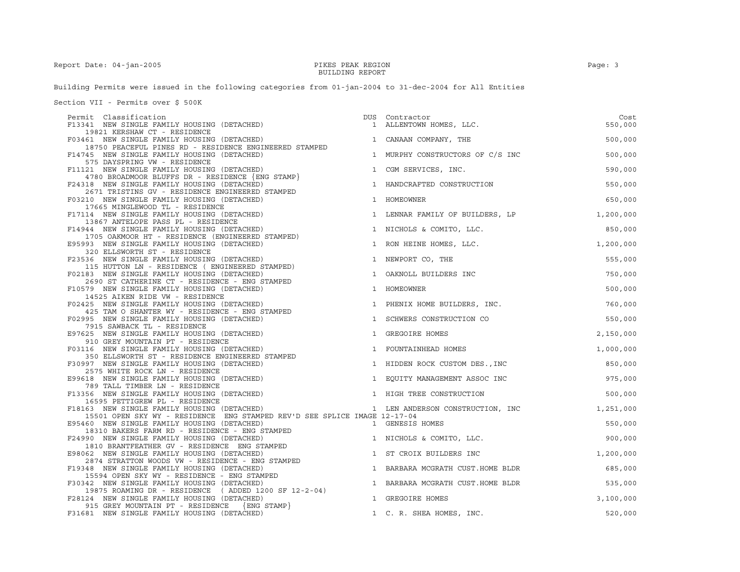Report Date: 04-jan-2005 **PIKES PEAK REGION** PAGE: 3

## BUILDING REPORT

Building Permits were issued in the following categories from 01-jan-2004 to 31-dec-2004 for All Entities

Section VII - Permits over \$ 500K

| Permit Classification                                                                           | DUS          | Contractor                        | Cost      |
|-------------------------------------------------------------------------------------------------|--------------|-----------------------------------|-----------|
| F13341 NEW SINGLE FAMILY HOUSING (DETACHED)                                                     |              | 1 ALLENTOWN HOMES, LLC.           | 550,000   |
| 19821 KERSHAW CT - RESIDENCE<br>F03461 NEW SINGLE FAMILY HOUSING (DETACHED)                     |              | 1 CANAAN COMPANY, THE             | 500,000   |
| 18750 PEACEFUL PINES RD - RESIDENCE ENGINEERED STAMPED                                          |              |                                   |           |
| F14745 NEW SINGLE FAMILY HOUSING (DETACHED)                                                     |              | 1 MURPHY CONSTRUCTORS OF C/S INC  | 500,000   |
| 575 DAYSPRING VW - RESIDENCE                                                                    |              |                                   |           |
| F11121 NEW SINGLE FAMILY HOUSING (DETACHED)                                                     |              | 1 CGM SERVICES, INC.              | 590,000   |
| 4780 BROADMOOR BLUFFS DR - RESIDENCE {ENG STAMP}<br>F24318 NEW SINGLE FAMILY HOUSING (DETACHED) | $\mathbf{1}$ | HANDCRAFTED CONSTRUCTION          | 550,000   |
| 2671 TRISTINS GV - RESIDENCE ENGINEERED STAMPED                                                 |              |                                   |           |
| F03210 NEW SINGLE FAMILY HOUSING (DETACHED)                                                     |              | 1 HOMEOWNER                       | 650,000   |
| 17665 MINGLEWOOD TL - RESIDENCE                                                                 |              |                                   |           |
| F17114 NEW SINGLE FAMILY HOUSING (DETACHED)                                                     |              | 1 LENNAR FAMILY OF BUILDERS, LP   | 1,200,000 |
| 13867 ANTELOPE PASS PL - RESIDENCE                                                              |              |                                   |           |
| F14944 NEW SINGLE FAMILY HOUSING (DETACHED)                                                     |              | 1 NICHOLS & COMITO, LLC.          | 850,000   |
| 1705 OAKMOOR HT - RESIDENCE (ENGINEERED STAMPED)<br>E95993 NEW SINGLE FAMILY HOUSING (DETACHED) |              | 1 RON HEINE HOMES, LLC.           | 1,200,000 |
| 320 ELLSWORTH ST - RESIDENCE                                                                    |              |                                   |           |
| F23536 NEW SINGLE FAMILY HOUSING (DETACHED)                                                     |              | 1 NEWPORT CO, THE                 | 555,000   |
| 115 HUTTON LN - RESIDENCE ( ENGINEERED STAMPED)                                                 |              |                                   |           |
| F02183 NEW SINGLE FAMILY HOUSING (DETACHED)                                                     | $\mathbf{1}$ | OAKNOLL BUILDERS INC              | 750,000   |
| 2690 ST CATHERINE CT - RESIDENCE - ENG STAMPED                                                  |              |                                   |           |
| F10579 NEW SINGLE FAMILY HOUSING (DETACHED)                                                     |              | 1 HOMEOWNER                       | 500,000   |
| 14525 AIKEN RIDE VW - RESIDENCE<br>F02425 NEW SINGLE FAMILY HOUSING (DETACHED)                  |              | 1 PHENIX HOME BUILDERS, INC.      | 760,000   |
| 425 TAM O SHANTER WY - RESIDENCE - ENG STAMPED                                                  |              |                                   |           |
| F02995 NEW SINGLE FAMILY HOUSING (DETACHED)                                                     |              | 1 SCHWERS CONSTRUCTION CO         | 550,000   |
| 7915 SAWBACK TL - RESIDENCE                                                                     |              |                                   |           |
| E97625 NEW SINGLE FAMILY HOUSING (DETACHED)                                                     |              | 1 GREGOIRE HOMES                  | 2,150,000 |
| 910 GREY MOUNTAIN PT - RESIDENCE                                                                |              |                                   |           |
| F03116 NEW SINGLE FAMILY HOUSING (DETACHED)                                                     |              | 1 FOUNTAINHEAD HOMES              | 1,000,000 |
| 350 ELLSWORTH ST - RESIDENCE ENGINEERED STAMPED<br>F30997 NEW SINGLE FAMILY HOUSING (DETACHED)  |              | 1 HIDDEN ROCK CUSTOM DES., INC    | 850,000   |
| 2575 WHITE ROCK LN - RESIDENCE                                                                  |              |                                   |           |
| E99618 NEW SINGLE FAMILY HOUSING (DETACHED)                                                     |              | 1 EQUITY MANAGEMENT ASSOC INC     | 975,000   |
| 789 TALL TIMBER LN - RESIDENCE                                                                  |              |                                   |           |
| F13356 NEW SINGLE FAMILY HOUSING (DETACHED)                                                     |              | 1 HIGH TREE CONSTRUCTION          | 500,000   |
| 16595 PETTIGREW PL - RESIDENCE                                                                  |              |                                   |           |
| F18163 NEW SINGLE FAMILY HOUSING (DETACHED)                                                     |              | 1 LEN ANDERSON CONSTRUCTION, INC  | 1,251,000 |
| 15501 OPEN SKY WY - RESIDENCE ENG STAMPED REV'D SEE SPLICE IMAGE 12-17-04                       |              |                                   | 550,000   |
| E95460 NEW SINGLE FAMILY HOUSING (DETACHED)<br>18310 BAKERS FARM RD - RESIDENCE - ENG STAMPED   |              | 1 GENESIS HOMES                   |           |
| F24990 NEW SINGLE FAMILY HOUSING (DETACHED)                                                     |              | 1 NICHOLS & COMITO, LLC.          | 900,000   |
| 1810 BRANTFEATHER GV - RESIDENCE ENG STAMPED                                                    |              |                                   |           |
| E98062 NEW SINGLE FAMILY HOUSING (DETACHED)                                                     |              | 1 ST CROIX BUILDERS INC           | 1,200,000 |
| 2874 STRATTON WOODS VW - RESIDENCE - ENG STAMPED                                                |              |                                   |           |
| F19348 NEW SINGLE FAMILY HOUSING (DETACHED)                                                     |              | 1 BARBARA MCGRATH CUST.HOME BLDR  | 685,000   |
| 15594 OPEN SKY WY - RESIDENCE - ENG STAMPED<br>F30342 NEW SINGLE FAMILY HOUSING (DETACHED)      |              |                                   | 535,000   |
| 19875 ROAMING DR - RESIDENCE (ADDED 1200 SF 12-2-04)                                            |              | 1 BARBARA MCGRATH CUST. HOME BLDR |           |
| F28124 NEW SINGLE FAMILY HOUSING (DETACHED)                                                     |              | 1 GREGOIRE HOMES                  | 3,100,000 |
| 915 GREY MOUNTAIN PT - RESIDENCE {ENG STAMP}                                                    |              |                                   |           |
| F31681 NEW SINGLE FAMILY HOUSING (DETACHED)                                                     |              | 1 C. R. SHEA HOMES, INC.          | 520,000   |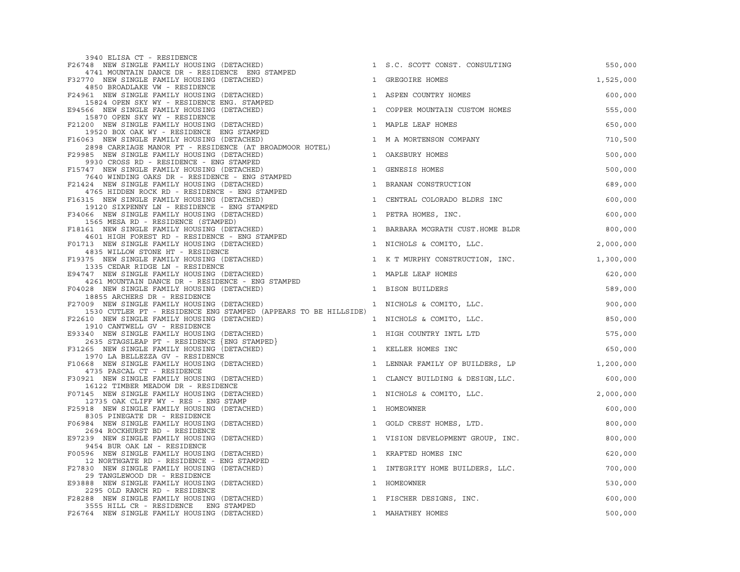| 3940 ELISA CT - RESIDENCE                                                                                                  |              |                                  |           |
|----------------------------------------------------------------------------------------------------------------------------|--------------|----------------------------------|-----------|
| F26748 NEW SINGLE FAMILY HOUSING (DETACHED)<br>4741 MOUNTAIN DANCE DR - RESIDENCE ENG STAMPED                              |              | 1 S.C. SCOTT CONST. CONSULTING   | 550,000   |
| F32770 NEW SINGLE FAMILY HOUSING (DETACHED)                                                                                |              | 1 GREGOIRE HOMES                 | 1,525,000 |
| 4850 BROADLAKE VW - RESIDENCE<br>F24961 NEW SINGLE FAMILY HOUSING (DETACHED)                                               |              | 1 ASPEN COUNTRY HOMES            | 600,000   |
| 15824 OPEN SKY WY - RESIDENCE ENG. STAMPED<br>E94566 NEW SINGLE FAMILY HOUSING (DETACHED)<br>15870 OPEN SKY WY - RESIDENCE | $\mathbf{1}$ | COPPER MOUNTAIN CUSTOM HOMES     | 555,000   |
| F21200 NEW SINGLE FAMILY HOUSING (DETACHED)                                                                                |              | 1 MAPLE LEAF HOMES               | 650,000   |
| 19520 BOX OAK WY - RESIDENCE ENG STAMPED<br>F16063 NEW SINGLE FAMILY HOUSING (DETACHED)                                    |              | 1 M A MORTENSON COMPANY          | 710,500   |
| 2898 CARRIAGE MANOR PT - RESIDENCE (AT BROADMOOR HOTEL)<br>F29985 NEW SINGLE FAMILY HOUSING (DETACHED)                     | $\mathbf{1}$ | OAKSBURY HOMES                   | 500,000   |
| 9930 CROSS RD - RESIDENCE - ENG STAMPED<br>F15747 NEW SINGLE FAMILY HOUSING (DETACHED)                                     | $\mathbf{1}$ | GENESIS HOMES                    | 500,000   |
| 7640 WINDING OAKS DR - RESIDENCE - ENG STAMPED                                                                             |              |                                  |           |
| F21424 NEW SINGLE FAMILY HOUSING (DETACHED)<br>4765 HIDDEN ROCK RD - RESIDENCE - ENG STAMPED                               | $\mathbf{1}$ | BRANAN CONSTRUCTION              | 689,000   |
| F16315 NEW SINGLE FAMILY HOUSING (DETACHED)<br>19120 SIXPENNY LN - RESIDENCE - ENG STAMPED                                 | $\mathbf{1}$ | CENTRAL COLORADO BLDRS INC       | 600,000   |
| F34066 NEW SINGLE FAMILY HOUSING (DETACHED)<br>1565 MESA RD - RESIDENCE (STAMPED)                                          |              | 1 PETRA HOMES, INC.              | 600,000   |
| F18161 NEW SINGLE FAMILY HOUSING (DETACHED)                                                                                |              | 1 BARBARA MCGRATH CUST.HOME BLDR | 800,000   |
| 4601 HIGH FOREST RD - RESIDENCE - ENG STAMPED<br>F01713 NEW SINGLE FAMILY HOUSING (DETACHED)                               |              | 1 NICHOLS & COMITO, LLC.         | 2,000,000 |
| 4835 WILLOW STONE HT - RESIDENCE<br>F19375 NEW SINGLE FAMILY HOUSING (DETACHED)                                            |              | 1 K T MURPHY CONSTRUCTION, INC.  | 1,300,000 |
| 1335 CEDAR RIDGE LN - RESIDENCE<br>E94747 NEW SINGLE FAMILY HOUSING (DETACHED)                                             |              | 1 MAPLE LEAF HOMES               | 620,000   |
| 4261 MOUNTAIN DANCE DR - RESIDENCE - ENG STAMPED                                                                           |              |                                  |           |
| F04028 NEW SINGLE FAMILY HOUSING (DETACHED)<br>18855 ARCHERS DR - RESIDENCE                                                |              | 1 BISON BUILDERS                 | 589,000   |
| F27009 NEW SINGLE FAMILY HOUSING (DETACHED)<br>1530 CUTLER PT - RESIDENCE ENG STAMPED (APPEARS TO BE HILLSIDE)             |              | 1 NICHOLS & COMITO, LLC.         | 900,000   |
| F22610 NEW SINGLE FAMILY HOUSING (DETACHED)                                                                                |              | 1 NICHOLS & COMITO, LLC.         | 850,000   |
| 1910 CANTWELL GV - RESIDENCE<br>E93340 NEW SINGLE FAMILY HOUSING (DETACHED)                                                |              | 1 HIGH COUNTRY INTL LTD          | 575,000   |
| 2635 STAGSLEAP PT - RESIDENCE {ENG STAMPED}                                                                                |              |                                  |           |
| F31265 NEW SINGLE FAMILY HOUSING (DETACHED)<br>1970 LA BELLEZZA GV - RESIDENCE                                             |              | 1 KELLER HOMES INC               | 650,000   |
| F10668 NEW SINGLE FAMILY HOUSING (DETACHED)<br>4735 PASCAL CT - RESIDENCE                                                  |              | 1 LENNAR FAMILY OF BUILDERS, LP  | 1,200,000 |
| F30921 NEW SINGLE FAMILY HOUSING (DETACHED)<br>16122 TIMBER MEADOW DR - RESIDENCE                                          |              | 1 CLANCY BUILDING & DESIGN, LLC. | 600,000   |
| F07145 NEW SINGLE FAMILY HOUSING (DETACHED)                                                                                |              | 1 NICHOLS & COMITO, LLC.         | 2,000,000 |
| 12735 OAK CLIFF WY - RES - ENG STAMP<br>F25918 NEW SINGLE FAMILY HOUSING (DETACHED)                                        | $\mathbf{1}$ | HOMEOWNER                        | 600,000   |
| 8305 PINEGATE DR - RESIDENCE<br>F06984 NEW SINGLE FAMILY HOUSING (DETACHED)                                                |              | 1 GOLD CREST HOMES, LTD.         | 800,000   |
| 2694 ROCKHURST BD - RESIDENCE<br>E97239 NEW SINGLE FAMILY HOUSING (DETACHED)                                               |              | 1 VISION DEVELOPMENT GROUP, INC. | 800,000   |
| 9454 BUR OAK LN - RESIDENCE<br>F00596 NEW SINGLE FAMILY HOUSING (DETACHED)                                                 |              | 1 KRAFTED HOMES INC              | 620,000   |
| 12 NORTHGATE RD - RESIDENCE - ENG STAMPED                                                                                  |              |                                  |           |
| F27830 NEW SINGLE FAMILY HOUSING (DETACHED)<br>29 TANGLEWOOD DR - RESIDENCE                                                |              | 1 INTEGRITY HOME BUILDERS, LLC.  | 700,000   |
| E93888 NEW SINGLE FAMILY HOUSING (DETACHED)<br>2295 OLD RANCH RD - RESIDENCE                                               | $\mathbf{1}$ | HOMEOWNER                        | 530,000   |
| F28288 NEW SINGLE FAMILY HOUSING (DETACHED)                                                                                |              | 1 FISCHER DESIGNS, INC.          | 600,000   |
| 3555 HILL CR - RESIDENCE ENG STAMPED<br>F26764 NEW SINGLE FAMILY HOUSING (DETACHED)                                        |              | 1 MAHATHEY HOMES                 | 500,000   |
|                                                                                                                            |              |                                  |           |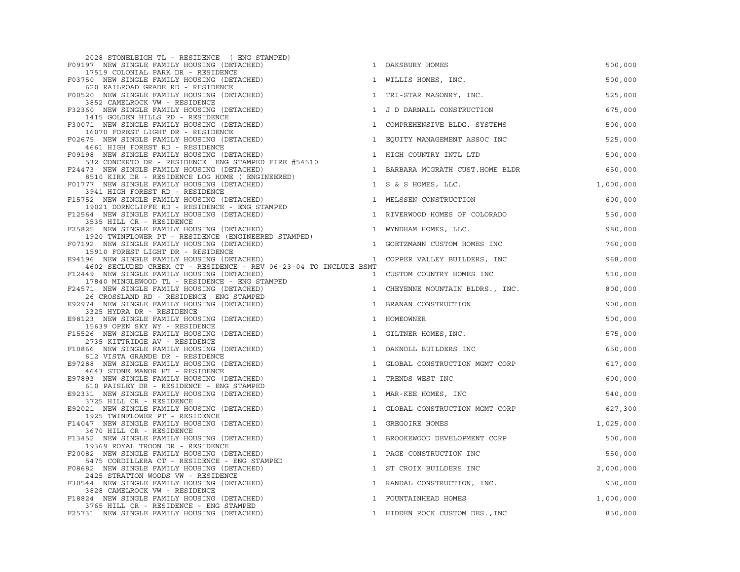| 2028 STONELEIGH TL - RESIDENCE (ENG STAMPED)                                                                     |              |                                   |           |
|------------------------------------------------------------------------------------------------------------------|--------------|-----------------------------------|-----------|
| F09197 NEW SINGLE FAMILY HOUSING (DETACHED)                                                                      |              | 1 OAKSBURY HOMES                  | 500,000   |
| 17519 COLONIAL PARK DR - RESIDENCE<br>F03750 NEW SINGLE FAMILY HOUSING (DETACHED)                                |              | 1 WILLIS HOMES, INC.              | 500,000   |
| 620 RAILROAD GRADE RD - RESIDENCE<br>F00520 NEW SINGLE FAMILY HOUSING (DETACHED)                                 |              | 1 TRI-STAR MASONRY, INC.          | 525,000   |
| 3852 CAMELROCK VW - RESIDENCE<br>F32360 NEW SINGLE FAMILY HOUSING (DETACHED)                                     |              | 1 J D DARNALL CONSTRUCTION        | 675,000   |
| 1415 GOLDEN HILLS RD - RESIDENCE<br>F30071 NEW SINGLE FAMILY HOUSING (DETACHED)                                  |              | 1 COMPREHENSIVE BLDG. SYSTEMS     | 500,000   |
| 16070 FOREST LIGHT DR - RESIDENCE<br>F02675 NEW SINGLE FAMILY HOUSING (DETACHED)                                 |              | 1 EQUITY MANAGEMENT ASSOC INC     | 525,000   |
| 4661 HIGH FOREST RD - RESIDENCE<br>F09198 NEW SINGLE FAMILY HOUSING (DETACHED)                                   |              | 1 HIGH COUNTRY INTL LTD           | 500,000   |
| 532 CONCERTO DR - RESIDENCE ENG STAMPED FIRE #54510<br>F24473 NEW SINGLE FAMILY HOUSING (DETACHED)               |              | 1 BARBARA MCGRATH CUST. HOME BLDR | 650,000   |
| 8510 KIRK DR - RESIDENCE LOG HOME ( ENGINEERED)<br>F01777 NEW SINGLE FAMILY HOUSING (DETACHED)                   |              | 1 S & S HOMES, LLC.               | 1,000,000 |
| 3941 HIGH FOREST RD - RESIDENCE<br>F15752 NEW SINGLE FAMILY HOUSING (DETACHED)                                   |              | 1 MELSSEN CONSTRUCTION            | 600,000   |
| 19021 DORNCLIFFE RD - RESIDENCE - ENG STAMPED<br>F12564 NEW SINGLE FAMILY HOUSING (DETACHED)                     |              | 1 RIVERWOOD HOMES OF COLORADO     | 550,000   |
| 3535 HILL CR - RESIDENCE                                                                                         |              |                                   |           |
| F25825 NEW SINGLE FAMILY HOUSING (DETACHED)<br>1920 TWINFLOWER PT - RESIDENCE (ENGINEERED STAMPED)               |              | 1 WYNDHAM HOMES, LLC.             | 980,000   |
| F07192 NEW SINGLE FAMILY HOUSING (DETACHED)<br>15910 FOREST LIGHT DR - RESIDENCE                                 |              | 1 GOETZMANN CUSTOM HOMES INC      | 760,000   |
| E94196 NEW SINGLE FAMILY HOUSING (DETACHED)<br>4602 SECLUDED CREEK CT - RESIDENCE - REV 06-23-04 TO INCLUDE BSMT |              | 1 COPPER VALLEY BUILDERS, INC     | 968,000   |
| F12449 NEW SINGLE FAMILY HOUSING (DETACHED)<br>17840 MINGLEWOOD TL - RESIDENCE - ENG STAMPED                     |              | 1 CUSTOM COUNTRY HOMES INC        | 510,000   |
| F24571 NEW SINGLE FAMILY HOUSING (DETACHED)                                                                      |              | 1 CHEYENNE MOUNTAIN BLDRS., INC.  | 800,000   |
| 26 CROSSLAND RD - RESIDENCE ENG STAMPED<br>E92974 NEW SINGLE FAMILY HOUSING (DETACHED)                           |              | 1 BRANAN CONSTRUCTION             | 900,000   |
| 3325 HYDRA DR - RESIDENCE<br>E98123 NEW SINGLE FAMILY HOUSING (DETACHED)                                         |              | 1 HOMEOWNER                       | 500,000   |
| 15639 OPEN SKY WY - RESIDENCE<br>F15526 NEW SINGLE FAMILY HOUSING (DETACHED)                                     |              | 1 GILTNER HOMES, INC.             | 575,000   |
| 2735 KITTRIDGE AV - RESIDENCE<br>F10866 NEW SINGLE FAMILY HOUSING (DETACHED)                                     |              | 1 OAKNOLL BUILDERS INC            | 650,000   |
| 612 VISTA GRANDE DR - RESIDENCE<br>E97288 NEW SINGLE FAMILY HOUSING (DETACHED)                                   |              | 1 GLOBAL CONSTRUCTION MGMT CORP   | 617,000   |
| 4643 STONE MANOR HT - RESIDENCE<br>E97893 NEW SINGLE FAMILY HOUSING (DETACHED)                                   | $\mathbf{1}$ | TRENDS WEST INC                   | 600,000   |
| 610 PAISLEY DR - RESIDENCE - ENG STAMPED<br>E92331 NEW SINGLE FAMILY HOUSING (DETACHED)                          |              |                                   | 540,000   |
| 3725 HILL CR - RESIDENCE                                                                                         |              | 1 MAR-KEE HOMES, INC              |           |
| E92021 NEW SINGLE FAMILY HOUSING (DETACHED)<br>1925 TWINFLOWER PT - RESIDENCE                                    |              | 1 GLOBAL CONSTRUCTION MGMT CORP   | 627,300   |
| F14047 NEW SINGLE FAMILY HOUSING (DETACHED)<br>3670 HILL CR - RESIDENCE                                          |              | 1 GREGOIRE HOMES                  | 1,025,000 |
| F13452 NEW SINGLE FAMILY HOUSING (DETACHED)<br>19369 ROYAL TROON DR - RESIDENCE                                  |              | 1 BROOKEWOOD DEVELOPMENT CORP     | 500,000   |
| F20082 NEW SINGLE FAMILY HOUSING (DETACHED)                                                                      | $\mathbf{1}$ | PAGE CONSTRUCTION INC             | 550,000   |
| 5475 CORDILLERA CT - RESIDENCE - ENG STAMPED<br>F08682 NEW SINGLE FAMILY HOUSING (DETACHED)                      |              | 1 ST CROIX BUILDERS INC           | 2,000,000 |
| 2425 STRATTON WOODS VW - RESIDENCE<br>F30544 NEW SINGLE FAMILY HOUSING (DETACHED)                                |              | 1 RANDAL CONSTRUCTION, INC.       | 950,000   |
| 3828 CAMELROCK VW - RESIDENCE<br>F18824 NEW SINGLE FAMILY HOUSING (DETACHED)                                     |              | 1 FOUNTAINHEAD HOMES              | 1,000,000 |
| 3765 HILL CR - RESIDENCE - ENG STAMPED<br>F25731 NEW SINGLE FAMILY HOUSING (DETACHED)                            |              | 1 HIDDEN ROCK CUSTOM DES., INC    | 850,000   |
|                                                                                                                  |              |                                   |           |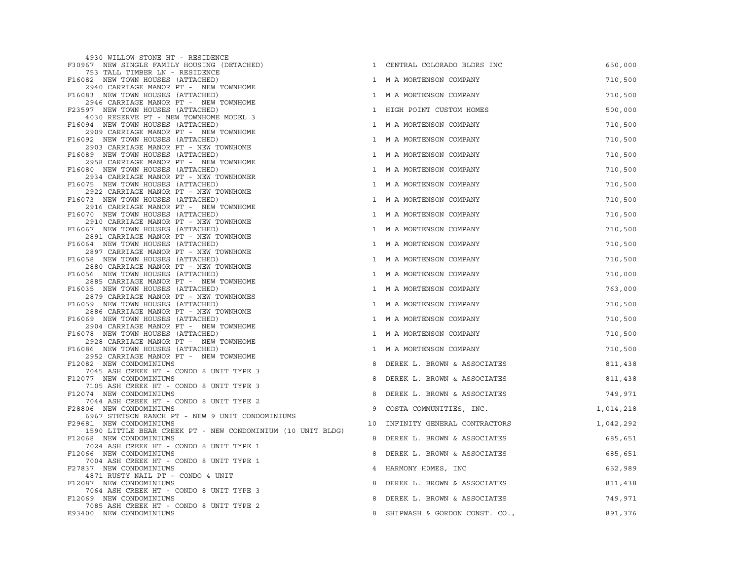| 4930 WILLOW STONE HT - RESIDENCE                                                      |    |                               |           |
|---------------------------------------------------------------------------------------|----|-------------------------------|-----------|
| F30967 NEW SINGLE FAMILY HOUSING (DETACHED)                                           |    | 1 CENTRAL COLORADO BLDRS INC  | 650,000   |
| 753 TALL TIMBER LN - RESIDENCE<br>F16082 NEW TOWN HOUSES (ATTACHED)                   |    | 1 M A MORTENSON COMPANY       | 710,500   |
| 2940 CARRIAGE MANOR PT - NEW TOWNHOME                                                 |    | 1 M A MORTENSON COMPANY       |           |
| F16083 NEW TOWN HOUSES (ATTACHED)<br>2946 CARRIAGE MANOR PT - NEW TOWNHOME            |    |                               | 710,500   |
| F23597 NEW TOWN HOUSES (ATTACHED)                                                     |    | 1 HIGH POINT CUSTOM HOMES     | 500,000   |
| 4030 RESERVE PT - NEW TOWNHOME MODEL 3<br>F16094 NEW TOWN HOUSES (ATTACHED)           |    | 1 M A MORTENSON COMPANY       | 710,500   |
| 2909 CARRIAGE MANOR PT - NEW TOWNHOME<br>F16092 NEW TOWN HOUSES (ATTACHED)            |    | 1 M A MORTENSON COMPANY       | 710,500   |
| 2903 CARRIAGE MANOR PT - NEW TOWNHOME                                                 |    |                               |           |
| F16089 NEW TOWN HOUSES (ATTACHED)<br>2958 CARRIAGE MANOR PT - NEW TOWNHOME            |    | 1 M A MORTENSON COMPANY       | 710,500   |
| F16080 NEW TOWN HOUSES (ATTACHED)                                                     |    | 1 M A MORTENSON COMPANY       | 710,500   |
| 2934 CARRIAGE MANOR PT - NEW TOWNHOMER                                                |    |                               |           |
| F16075 NEW TOWN HOUSES (ATTACHED)<br>2922 CARRIAGE MANOR PT - NEW TOWNHOME            |    | 1 M A MORTENSON COMPANY       | 710,500   |
| F16073 NEW TOWN HOUSES (ATTACHED)                                                     |    | 1 M A MORTENSON COMPANY       | 710,500   |
| 2916 CARRIAGE MANOR PT - NEW TOWNHOME                                                 |    |                               |           |
| F16070 NEW TOWN HOUSES (ATTACHED)<br>2910 CARRIAGE MANOR PT - NEW TOWNHOME            |    | 1 M A MORTENSON COMPANY       | 710,500   |
| F16067 NEW TOWN HOUSES (ATTACHED)                                                     |    | 1 M A MORTENSON COMPANY       | 710,500   |
| 2891 CARRIAGE MANOR PT - NEW TOWNHOME                                                 |    |                               |           |
| F16064 NEW TOWN HOUSES (ATTACHED)<br>2897 CARRIAGE MANOR PT - NEW TOWNHOME            |    | 1 M A MORTENSON COMPANY       | 710,500   |
| F16058 NEW TOWN HOUSES (ATTACHED)                                                     |    | 1 M A MORTENSON COMPANY       | 710,500   |
| 2880 CARRIAGE MANOR PT - NEW TOWNHOME<br>F16056 NEW TOWN HOUSES (ATTACHED)            |    | 1 M A MORTENSON COMPANY       | 710,000   |
| 2885 CARRIAGE MANOR PT - NEW TOWNHOME                                                 |    |                               |           |
| F16035 NEW TOWN HOUSES (ATTACHED)<br>2879 CARRIAGE MANOR PT - NEW TOWNHOMES           |    | 1 M A MORTENSON COMPANY       | 763,000   |
| F16059 NEW TOWN HOUSES (ATTACHED)                                                     |    | 1 M A MORTENSON COMPANY       | 710,500   |
| 2886 CARRIAGE MANOR PT - NEW TOWNHOME<br>F16069 NEW TOWN HOUSES (ATTACHED)            |    | 1 M A MORTENSON COMPANY       | 710,500   |
| 2904 CARRIAGE MANOR PT - NEW TOWNHOME                                                 |    |                               |           |
| F16078 NEW TOWN HOUSES (ATTACHED)                                                     |    | 1 M A MORTENSON COMPANY       | 710,500   |
| 2928 CARRIAGE MANOR PT - NEW TOWNHOME<br>F16086 NEW TOWN HOUSES (ATTACHED)            |    | 1 M A MORTENSON COMPANY       | 710,500   |
| 2952 CARRIAGE MANOR PT - NEW TOWNHOME<br>F12082 NEW CONDOMINIUMS                      | 8  | DEREK L. BROWN & ASSOCIATES   | 811,438   |
| 7045 ASH CREEK HT - CONDO 8 UNIT TYPE 3                                               |    |                               |           |
| F12077 NEW CONDOMINIUMS                                                               | 8  | DEREK L. BROWN & ASSOCIATES   | 811,438   |
| 7105 ASH CREEK HT - CONDO 8 UNIT TYPE 3<br>F12074 NEW CONDOMINIUMS                    | 8  | DEREK L. BROWN & ASSOCIATES   | 749,971   |
| 7044 ASH CREEK HT - CONDO 8 UNIT TYPE 2<br>F28806 NEW CONDOMINIUMS                    | 9  | COSTA COMMUNITIES, INC.       | 1,014,218 |
| 6967 STETSON RANCH PT - NEW 9 UNIT CONDOMINIUMS                                       |    |                               |           |
| F29681 NEW CONDOMINIUMS<br>1590 LITTLE BEAR CREEK PT - NEW CONDOMINIUM (10 UNIT BLDG) | 10 | INFINITY GENERAL CONTRACTORS  | 1,042,292 |
| F12068 NEW CONDOMINIUMS                                                               | 8  | DEREK L. BROWN & ASSOCIATES   | 685,651   |
| 7024 ASH CREEK HT - CONDO 8 UNIT TYPE 1<br>F12066 NEW CONDOMINIUMS                    | 8  | DEREK L. BROWN & ASSOCIATES   | 685,651   |
| 7004 ASH CREEK HT - CONDO 8 UNIT TYPE 1                                               |    |                               |           |
| F27837 NEW CONDOMINIUMS                                                               | 4  | HARMONY HOMES, INC            | 652,989   |
| 4871 RUSTY NAIL PT - CONDO 4 UNIT<br>F12087 NEW CONDOMINIUMS                          | 8  | DEREK L. BROWN & ASSOCIATES   | 811,438   |
| 7064 ASH CREEK HT - CONDO 8 UNIT TYPE 3                                               |    |                               |           |
| F12069 NEW CONDOMINIUMS<br>7085 ASH CREEK HT - CONDO 8 UNIT TYPE 2                    | 8  | DEREK L. BROWN & ASSOCIATES   | 749,971   |
| E93400 NEW CONDOMINIUMS                                                               | 8  | SHIPWASH & GORDON CONST. CO., | 891,376   |

| 1            | CENTRAL COLORADO BLDRS INC    | 650,00   |
|--------------|-------------------------------|----------|
| $\mathbf{1}$ | M A MORTENSON COMPANY         | 710,50   |
| 1            | M A MORTENSON COMPANY         | 710,50   |
| $\mathbf{1}$ | HIGH POINT CUSTOM HOMES       | 500,00   |
| 1            | M A MORTENSON COMPANY         | 710,50   |
| $\mathbf{1}$ | M A MORTENSON COMPANY         | 710,50   |
| 1            | M A MORTENSON COMPANY         | 710,50   |
| $\mathbf{1}$ | M A MORTENSON COMPANY         | 710,50   |
| 1            | M A MORTENSON COMPANY         | 710,50   |
| $\mathbf{1}$ | M A MORTENSON COMPANY         | 710,50   |
| $\mathbf 1$  | M A MORTENSON COMPANY         | 710,50   |
| $\mathbf 1$  | M A MORTENSON COMPANY         | 710,50   |
| $\mathbf 1$  | M A MORTENSON COMPANY         | 710,50   |
| $\mathbf{1}$ | M A MORTENSON COMPANY         | 710,50   |
| $\mathbf 1$  | M A MORTENSON COMPANY         | 710,00   |
| $\mathbf 1$  | M A MORTENSON COMPANY         | 763,00   |
| 1            | M A MORTENSON COMPANY         | 710,50   |
| 1            | M A MORTENSON COMPANY         | 710,50   |
| 1            | M A MORTENSON COMPANY         | 710,50   |
| $\mathbf{1}$ | M A MORTENSON COMPANY         | 710,50   |
| 8            | DEREK L. BROWN & ASSOCIATES   | 811,43   |
| 8            | DEREK L. BROWN & ASSOCIATES   | 811,43   |
| 8            | DEREK L. BROWN & ASSOCIATES   | 749,97   |
| 9            | COSTA COMMUNITIES, INC.       | 1,014,21 |
| 10           | INFINITY GENERAL CONTRACTORS  | 1,042,29 |
| 8            | DEREK L. BROWN & ASSOCIATES   | 685,65   |
| 8            | DEREK L. BROWN & ASSOCIATES   | 685,65   |
| 4            | HARMONY HOMES, INC            | 652,98   |
| 8            | DEREK L. BROWN & ASSOCIATES   | 811,43   |
| 8            | DEREK L. BROWN & ASSOCIATES   | 749,97   |
| 8            | SHIPWASH & GORDON CONST. CO., | 891,37   |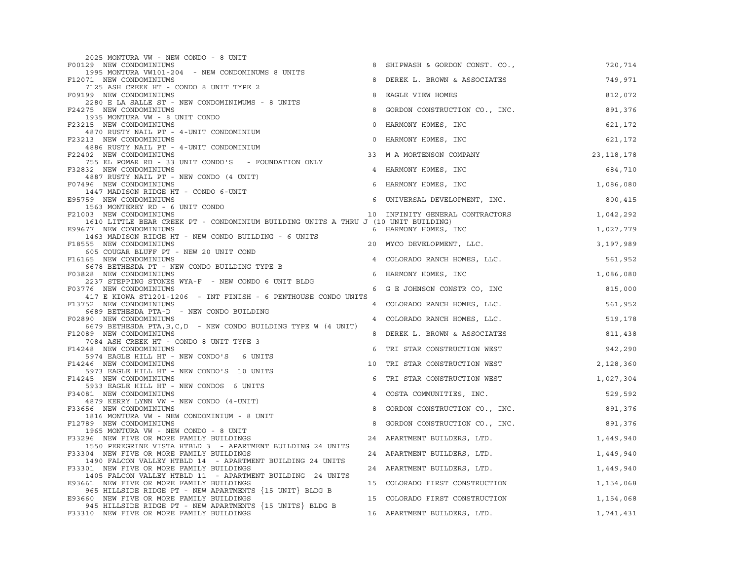| 2025 MONTURA VW - NEW CONDO - 8 UNIT                                                                          |                |                                 |              |
|---------------------------------------------------------------------------------------------------------------|----------------|---------------------------------|--------------|
| F00129 NEW CONDOMINIUMS                                                                                       | 8              | SHIPWASH & GORDON CONST. CO.,   | 720,714      |
| 1995 MONTURA VW101-204 - NEW CONDOMINUMS 8 UNITS<br>F12071 NEW CONDOMINIUMS                                   | 8              | DEREK L. BROWN & ASSOCIATES     | 749,971      |
| 7125 ASH CREEK HT - CONDO 8 UNIT TYPE 2                                                                       |                |                                 |              |
| F09199 NEW CONDOMINIUMS                                                                                       | 8              | EAGLE VIEW HOMES                | 812,072      |
| 2280 E LA SALLE ST - NEW CONDOMINIMUMS - 8 UNITS<br>F24275 NEW CONDOMINIUMS                                   | 8              | GORDON CONSTRUCTION CO., INC.   | 891,376      |
| 1935 MONTURA VW - 8 UNIT CONDO                                                                                |                |                                 |              |
| F23215 NEW CONDOMINIUMS                                                                                       | $\mathbf 0$    | HARMONY HOMES, INC              | 621,172      |
| 4870 RUSTY NAIL PT - 4-UNIT CONDOMINIUM                                                                       |                |                                 |              |
| F23213 NEW CONDOMINIUMS                                                                                       | $\circ$        | HARMONY HOMES, INC              | 621,172      |
| 4886 RUSTY NAIL PT - 4-UNIT CONDOMINIUM<br>F22402 NEW CONDOMINIUMS                                            |                | 33 M A MORTENSON COMPANY        | 23, 118, 178 |
| 755 EL POMAR RD - 33 UNIT CONDO'S - FOUNDATION ONLY                                                           |                |                                 |              |
| F32832 NEW CONDOMINIUMS                                                                                       |                | 4 HARMONY HOMES, INC            | 684,710      |
| 4887 RUSTY NAIL PT - NEW CONDO (4 UNIT)<br>F07496 NEW CONDOMINIUMS                                            |                | 6 HARMONY HOMES, INC            | 1,086,080    |
| 1447 MADISON RIDGE HT - CONDO 6-UNIT                                                                          |                |                                 |              |
| E95759 NEW CONDOMINIUMS                                                                                       | -6             | UNIVERSAL DEVELOPMENT, INC.     | 800,415      |
| 1563 MONTEREY RD - 6 UNIT CONDO                                                                               |                |                                 |              |
| F21003 NEW CONDOMINIUMS<br>1610 LITTLE BEAR CREEK PT - CONDOMINIUM BUILDING UNITS A THRU J (10 UNIT BUILDING) |                | 10 INFINITY GENERAL CONTRACTORS | 1,042,292    |
| E99677 NEW CONDOMINIUMS                                                                                       |                | 6 HARMONY HOMES, INC            | 1,027,779    |
| 1463 MADISON RIDGE HT - NEW CONDO BUILDING - 6 UNITS                                                          |                |                                 |              |
| F18555 NEW CONDOMINIUMS                                                                                       |                | 20 MYCO DEVELOPMENT, LLC.       | 3,197,989    |
| 605 COUGAR BLUFF PT - NEW 20 UNIT COND                                                                        |                |                                 |              |
| F16165 NEW CONDOMINIUMS<br>6678 BETHESDA PT - NEW CONDO BUILDING TYPE B                                       |                | 4 COLORADO RANCH HOMES, LLC.    | 561,952      |
| F03828 NEW CONDOMINIUMS                                                                                       |                | 6 HARMONY HOMES, INC            | 1,086,080    |
| 2237 STEPPING STONES WYA-F - NEW CONDO 6 UNIT BLDG                                                            |                |                                 |              |
| F03776 NEW CONDOMINIUMS<br>417 E KIOWA ST1201-1206 - INT FINISH - 6 PENTHOUSE CONDO UNITS                     |                | 6 G E JOHNSON CONSTR CO, INC    | 815,000      |
| F13752 NEW CONDOMINIUMS                                                                                       |                | 4 COLORADO RANCH HOMES, LLC.    | 561,952      |
| 6689 BETHESDA PTA-D - NEW CONDO BUILDING                                                                      |                |                                 |              |
| F02890 NEW CONDOMINIUMS                                                                                       |                | 4 COLORADO RANCH HOMES, LLC.    | 519,178      |
| 6679 BETHESDA PTA, B, C, D - NEW CONDO BUILDING TYPE W (4 UNIT)<br>F12089 NEW CONDOMINIUMS                    | 8              | DEREK L. BROWN & ASSOCIATES     | 811,438      |
| 7084 ASH CREEK HT - CONDO 8 UNIT TYPE 3                                                                       |                |                                 |              |
| F14248 NEW CONDOMINIUMS                                                                                       | 6              | TRI STAR CONSTRUCTION WEST      | 942,290      |
| 5974 EAGLE HILL HT - NEW CONDO'S 6 UNITS                                                                      |                |                                 |              |
| F14246 NEW CONDOMINIUMS<br>5973 EAGLE HILL HT - NEW CONDO'S 10 UNITS                                          | 10             | TRI STAR CONSTRUCTION WEST      | 2,128,360    |
| F14245 NEW CONDOMINIUMS                                                                                       | 6              | TRI STAR CONSTRUCTION WEST      | 1,027,304    |
| 5933 EAGLE HILL HT - NEW CONDOS 6 UNITS                                                                       |                |                                 |              |
| F34081 NEW CONDOMINIUMS                                                                                       | $\overline{4}$ | COSTA COMMUNITIES, INC.         | 529,592      |
| 4879 KERRY LYNN VW - NEW CONDO (4-UNIT)<br>F33656 NEW CONDOMINIUMS                                            | 8              | GORDON CONSTRUCTION CO., INC.   | 891,376      |
| 1816 MONTURA VW - NEW CONDOMINIUM - 8 UNIT                                                                    |                |                                 |              |
| F12789 NEW CONDOMINIUMS                                                                                       | 8              | GORDON CONSTRUCTION CO., INC.   | 891,376      |
| 1965 MONTURA VW - NEW CONDO - 8 UNIT<br>F33296 NEW FIVE OR MORE FAMILY BUILDINGS                              |                |                                 |              |
| 1550 PEREGRINE VISTA HTBLD 3 - APARTMENT BUILDING 24 UNITS                                                    |                | 24 APARTMENT BUILDERS, LTD.     | 1,449,940    |
| F33304 NEW FIVE OR MORE FAMILY BUILDINGS                                                                      |                | 24 APARTMENT BUILDERS, LTD.     | 1,449,940    |
| 1490 FALCON VALLEY HTBLD 14 - APARTMENT BUILDING 24 UNITS                                                     |                |                                 |              |
| F33301 NEW FIVE OR MORE FAMILY BUILDINGS                                                                      |                | 24 APARTMENT BUILDERS, LTD.     | 1,449,940    |
| 1405 FALCON VALLEY HTBLD 11 - APARTMENT BUILDING 24 UNITS<br>E93661 NEW FIVE OR MORE FAMILY BUILDINGS         |                | 15 COLORADO FIRST CONSTRUCTION  | 1,154,068    |
| 965 HILLSIDE RIDGE PT - NEW APARTMENTS {15 UNIT} BLDG B                                                       |                |                                 |              |
| E93660 NEW FIVE OR MORE FAMILY BUILDINGS                                                                      |                | 15 COLORADO FIRST CONSTRUCTION  | 1,154,068    |
| 945 HILLSIDE RIDGE PT - NEW APARTMENTS {15 UNITS} BLDG B<br>F33310 NEW FIVE OR MORE FAMILY BUILDINGS          |                | 16 APARTMENT BUILDERS, LTD.     | 1,741,431    |
|                                                                                                               |                |                                 |              |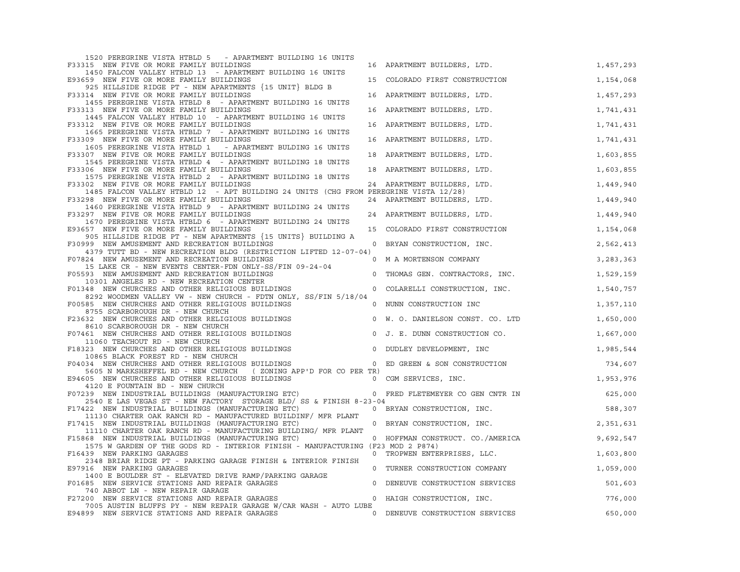| 1520 PEREGRINE VISTA HTBLD 5 - APARTMENT BUILDING 16 UNITS                                                                       |                |                                  |           |
|----------------------------------------------------------------------------------------------------------------------------------|----------------|----------------------------------|-----------|
| F33315 NEW FIVE OR MORE FAMILY BUILDINGS                                                                                         |                | 16 APARTMENT BUILDERS, LTD.      | 1,457,293 |
| 1450 FALCON VALLEY HTBLD 13 - APARTMENT BUILDING 16 UNITS<br>E93659 NEW FIVE OR MORE FAMILY BUILDINGS                            |                | 15 COLORADO FIRST CONSTRUCTION   | 1,154,068 |
| 925 HILLSIDE RIDGE PT - NEW APARTMENTS {15 UNIT} BLDG B<br>F33314 NEW FIVE OR MORE FAMILY BUILDINGS                              |                | 16 APARTMENT BUILDERS, LTD.      | 1,457,293 |
| 1455 PEREGRINE VISTA HTBLD 8 - APARTMENT BUILDING 16 UNITS<br>F33313 NEW FIVE OR MORE FAMILY BUILDINGS                           |                | 16 APARTMENT BUILDERS, LTD.      | 1,741,431 |
| 1445 FALCON VALLEY HTBLD 10 - APARTMENT BUILDING 16 UNITS                                                                        |                |                                  |           |
| F33312 NEW FIVE OR MORE FAMILY BUILDINGS<br>1665 PEREGRINE VISTA HTBLD 7 - APARTMENT BUILDING 16 UNITS                           |                | 16 APARTMENT BUILDERS, LTD.      | 1,741,431 |
| F33309 NEW FIVE OR MORE FAMILY BUILDINGS                                                                                         |                | 16 APARTMENT BUILDERS, LTD.      | 1,741,431 |
| 1605 PEREGRINE VISTA HTBLD 1 - APARTMENT BULDING 16 UNITS<br>F33307 NEW FIVE OR MORE FAMILY BUILDINGS                            |                | 18 APARTMENT BUILDERS, LTD.      | 1,603,855 |
| 1545 PEREGRINE VISTA HTBLD 4 - APARTMENT BUILDING 18 UNITS<br>F33306 NEW FIVE OR MORE FAMILY BUILDINGS                           |                | 18 APARTMENT BUILDERS, LTD.      | 1,603,855 |
| 1575 PEREGRINE VISTA HTBLD 2 - APARTMENT BUILDING 18 UNITS                                                                       |                |                                  |           |
| F33302 NEW FIVE OR MORE FAMILY BUILDINGS<br>1485 FALCON VALLEY HTBLD 12 - APT BUILDING 24 UNITS (CHG FROM PEREGRINE VISTA 12/28) |                | 24 APARTMENT BUILDERS, LTD.      | 1,449,940 |
| F33298 NEW FIVE OR MORE FAMILY BUILDINGS                                                                                         |                | 24 APARTMENT BUILDERS, LTD.      | 1,449,940 |
| 1460 PEREGRINE VISTA HTBLD 9 - APARTMENT BUILDING 24 UNITS                                                                       |                |                                  |           |
| F33297 NEW FIVE OR MORE FAMILY BUILDINGS<br>1670 PEREGRINE VISTA HTBLD 6 - APARTMENT BUILDING 24 UNITS                           |                | 24 APARTMENT BUILDERS, LTD.      | 1,449,940 |
| E93657 NEW FIVE OR MORE FAMILY BUILDINGS                                                                                         |                | 15 COLORADO FIRST CONSTRUCTION   | 1,154,068 |
| 905 HILLSIDE RIDGE PT - NEW APARTMENTS {15 UNITS} BUILDING A<br>F30999 NEW AMUSEMENT AND RECREATION BUILDINGS                    |                | 0 BRYAN CONSTRUCTION, INC.       | 2,562,413 |
| 4379 TUTT BD - NEW RECREATION BLDG (RESTRICTION LIFTED 12-07-04)<br>F07824 NEW AMUSEMENT AND RECREATION BUILDINGS                |                | 0 M A MORTENSON COMPANY          | 3,283,363 |
| 15 LAKE CR - NEW EVENTS CENTER-FDN ONLY-SS/FIN 09-24-04                                                                          |                |                                  |           |
| F05593 NEW AMUSEMENT AND RECREATION BUILDINGS<br>10301 ANGELES RD - NEW RECREATION CENTER                                        |                | 0 THOMAS GEN. CONTRACTORS, INC.  | 1,529,159 |
| F01348 NEW CHURCHES AND OTHER RELIGIOUS BUILDINGS                                                                                |                | 0 COLARELLI CONSTRUCTION, INC.   | 1,540,757 |
| 8292 WOODMEN VALLEY VW - NEW CHURCH - FDTN ONLY, SS/FIN 5/18/04<br>F00585 NEW CHURCHES AND OTHER RELIGIOUS BUILDINGS             |                | 0 NUNN CONSTRUCTION INC          | 1,357,110 |
| 8755 SCARBOROUGH DR - NEW CHURCH<br>F23632 NEW CHURCHES AND OTHER RELIGIOUS BUILDINGS                                            | $\overline{0}$ | W. O. DANIELSON CONST. CO. LTD   | 1,650,000 |
| 8610 SCARBOROUGH DR - NEW CHURCH<br>F07461 NEW CHURCHES AND OTHER RELIGIOUS BUILDINGS                                            |                | 0 J. E. DUNN CONSTRUCTION CO.    | 1,667,000 |
| 11060 TEACHOUT RD - NEW CHURCH                                                                                                   |                |                                  |           |
| F18323 NEW CHURCHES AND OTHER RELIGIOUS BUILDINGS<br>10865 BLACK FOREST RD - NEW CHURCH                                          |                | 0 DUDLEY DEVELOPMENT, INC        | 1,985,544 |
| F04034 NEW CHURCHES AND OTHER RELIGIOUS BUILDINGS<br>5605 N MARKSHEFFEL RD - NEW CHURCH ( ZONING APP'D FOR CO PER TR)            |                | 0 ED GREEN & SON CONSTRUCTION    | 734,607   |
| E94605 NEW CHURCHES AND OTHER RELIGIOUS BUILDINGS                                                                                |                | 0 CGM SERVICES, INC.             | 1,953,976 |
| 4120 E FOUNTAIN BD - NEW CHURCH<br>F07239 NEW INDUSTRIAL BUILDINGS (MANUFACTURING ETC)                                           |                | 0 FRED FLETEMEYER CO GEN CNTR IN | 625,000   |
| 2540 E LAS VEGAS ST - NEW FACTORY STORAGE BLD/ SS & FINISH 8-23-04                                                               |                |                                  |           |
| F17422 NEW INDUSTRIAL BUILDINGS (MANUFACTURING ETC)<br>11130 CHARTER OAK RANCH RD - MANUFACTURED BUILDINF/ MFR PLANT             |                | 0 BRYAN CONSTRUCTION, INC.       | 588, 307  |
| F17415 NEW INDUSTRIAL BUILDINGS (MANUFACTURING ETC)<br>11110 CHARTER OAK RANCH RD - MANUFACTURING BUILDING/ MFR PLANT            |                | 0 BRYAN CONSTRUCTION, INC.       | 2,351,631 |
| F15868 NEW INDUSTRIAL BUILDINGS (MANUFACTURING ETC)                                                                              |                | 0 HOFFMAN CONSTRUCT. CO./AMERICA | 9,692,547 |
| 1575 W GARDEN OF THE GODS RD - INTERIOR FINISH - MANUFACTURING (F23 MOD 2 P874)<br>F16439 NEW PARKING GARAGES                    |                | 0 TROPWEN ENTERPRISES, LLC.      | 1,603,800 |
| 2348 BRIAR RIDGE PT - PARKING GARAGE FINISH & INTERIOR FINISH<br>E97916 NEW PARKING GARAGES                                      |                |                                  |           |
| 1400 E BOULDER ST - ELEVATED DRIVE RAMP/PARKING GARAGE                                                                           |                | 0 TURNER CONSTRUCTION COMPANY    | 1,059,000 |
| F01685 NEW SERVICE STATIONS AND REPAIR GARAGES                                                                                   |                | 0 DENEUVE CONSTRUCTION SERVICES  | 501,603   |
| 740 ABBOT LN - NEW REPAIR GARAGE<br>F27200 NEW SERVICE STATIONS AND REPAIR GARAGES                                               |                | 0 HAIGH CONSTRUCTION, INC.       | 776,000   |
| 7005 AUSTIN BLUFFS PY - NEW REPAIR GARAGE W/CAR WASH - AUTO LUBE<br>E94899 NEW SERVICE STATIONS AND REPAIR GARAGES               |                | 0 DENEUVE CONSTRUCTION SERVICES  |           |
|                                                                                                                                  |                |                                  | 650,000   |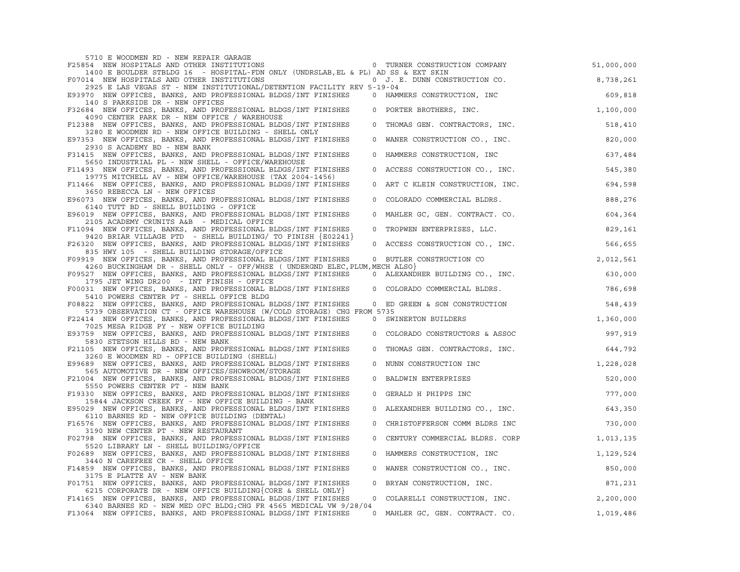| 5710 E WOODMEN RD - NEW REPAIR GARAGE                                                                                                              |                                      |            |
|----------------------------------------------------------------------------------------------------------------------------------------------------|--------------------------------------|------------|
| F25854 NEW HOSPITALS AND OTHER INSTITUTIONS                                                                                                        | 0 TURNER CONSTRUCTION COMPANY        | 51,000,000 |
| 1400 E BOULDER STBLDG 16 - HOSPITAL-FDN ONLY (UNDRSLAB, EL & PL) AD SS & EXT SKIN<br>F07014 NEW HOSPITALS AND OTHER INSTITUTIONS                   | 0 J. E. DUNN CONSTRUCTION CO.        | 8,738,261  |
| 2925 E LAS VEGAS ST - NEW INSTITUTIONAL/DETENTION FACILITY REV 5-19-04<br>E93970 NEW OFFICES, BANKS, AND PROFESSIONAL BLDGS/INT FINISHES           | 0 HAMMERS CONSTRUCTION, INC          | 609,818    |
| 140 S PARKSIDE DR - NEW OFFICES<br>F32684 NEW OFFICES, BANKS, AND PROFESSIONAL BLDGS/INT FINISHES                                                  | 1,100,000<br>0 PORTER BROTHERS, INC. |            |
| 4090 CENTER PARK DR - NEW OFFICE / WAREHOUSE<br>F12388 NEW OFFICES, BANKS, AND PROFESSIONAL BLDGS/INT FINISHES                                     | 0 THOMAS GEN. CONTRACTORS, INC.      | 518,410    |
| 3280 E WOODMEN RD - NEW OFFICE BUILDING - SHELL ONLY<br>E97353 NEW OFFICES, BANKS, AND PROFESSIONAL BLDGS/INT FINISHES<br>$\circ$                  | WANER CONSTRUCTION CO., INC.         | 820,000    |
| 2930 S ACADEMY BD - NEW BANK<br>F31415 NEW OFFICES, BANKS, AND PROFESSIONAL BLDGS/INT FINISHES                                                     | 0 HAMMERS CONSTRUCTION, INC          | 637,484    |
| 5650 INDUSTRIAL PL - NEW SHELL - OFFICE/WAREHOUSE<br>F11493 NEW OFFICES, BANKS, AND PROFESSIONAL BLDGS/INT FINISHES                                | 0 ACCESS CONSTRUCTION CO., INC.      | 545,380    |
| 19775 MITCHELL AV - NEW OFFICE/WAREHOUSE (TAX 2004-1456)                                                                                           |                                      |            |
| F11466 NEW OFFICES, BANKS, AND PROFESSIONAL BLDGS/INT FINISHES<br>3650 REBECCA LN - NEW OFFICES                                                    | 0 ART C KLEIN CONSTRUCTION, INC.     | 694,598    |
| E96073 NEW OFFICES, BANKS, AND PROFESSIONAL BLDGS/INT FINISHES<br>$\circ$<br>6140 TUTT BD - SHELL BUILDING - OFFICE                                | COLORADO COMMERCIAL BLDRS.           | 888,276    |
| E96019 NEW OFFICES, BANKS, AND PROFESSIONAL BLDGS/INT FINISHES<br>$\circ$<br>2105 ACADEMY CRUNITS A&B - MEDICAL OFFICE                             | MAHLER GC, GEN. CONTRACT. CO.        | 604,364    |
| F11094 NEW OFFICES, BANKS, AND PROFESSIONAL BLDGS/INT FINISHES<br>9420 BRIAR VILLAGE PTD - SHELL BUILDING/ TO FINISH {E02241}                      | 0 TROPWEN ENTERPRISES, LLC.          | 829,161    |
| F26320 NEW OFFICES, BANKS, AND PROFESSIONAL BLDGS/INT FINISHES                                                                                     | 0 ACCESS CONSTRUCTION CO., INC.      | 566,655    |
| 835 HWY 105 - SHELL BUILDING STORAGE/OFFICE<br>F09919 NEW OFFICES, BANKS, AND PROFESSIONAL BLDGS/INT FINISHES                                      | 0 BUTLER CONSTRUCTION CO             | 2,012,561  |
| 4260 BUCKINGHAM DR - SHELL ONLY - OFF/WHSE ( UNDERGND ELEC, PLUM, MECH ALSO}<br>F09527 NEW OFFICES, BANKS, AND PROFESSIONAL BLDGS/INT FINISHES     | 0 ALEXANDHER BUILDING CO., INC.      | 630,000    |
| 1795 JET WING DR200 - INT FINISH - OFFICE<br>F00031 NEW OFFICES, BANKS, AND PROFESSIONAL BLDGS/INT FINISHES<br>$\Omega$                            | COLORADO COMMERCIAL BLDRS.           | 786,698    |
| 5410 POWERS CENTER PT - SHELL OFFICE BLDG<br>F08822 NEW OFFICES, BANKS, AND PROFESSIONAL BLDGS/INT FINISHES                                        | 0 ED GREEN & SON CONSTRUCTION        | 548,439    |
| 5739 OBSERVATION CT - OFFICE WAREHOUSE (W/COLD STORAGE) CHG FROM 5735                                                                              |                                      |            |
| F22414 NEW OFFICES, BANKS, AND PROFESSIONAL BLDGS/INT FINISHES<br>7025 MESA RIDGE PY - NEW OFFICE BUILDING                                         | 0 SWINERTON BUILDERS                 | 1,360,000  |
| E93759 NEW OFFICES, BANKS, AND PROFESSIONAL BLDGS/INT FINISHES<br>$\circ$<br>5830 STETSON HILLS BD - NEW BANK                                      | COLORADO CONSTRUCTORS & ASSOC        | 997,919    |
| F21105 NEW OFFICES, BANKS, AND PROFESSIONAL BLDGS/INT FINISHES<br>3260 E WOODMEN RD - OFFICE BUILDING (SHELL)                                      | 0 THOMAS GEN. CONTRACTORS, INC.      | 644,792    |
| E99689 NEW OFFICES, BANKS, AND PROFESSIONAL BLDGS/INT FINISHES<br>$\circ$<br>565 AUTOMOTIVE DR - NEW OFFICES/SHOWROOM/STORAGE                      | NUNN CONSTRUCTION INC                | 1,228,028  |
| F21004 NEW OFFICES, BANKS, AND PROFESSIONAL BLDGS/INT FINISHES<br>$\mathbf{0}$                                                                     | BALDWIN ENTERPRISES                  | 520,000    |
| 5550 POWERS CENTER PT - NEW BANK<br>F19330 NEW OFFICES, BANKS, AND PROFESSIONAL BLDGS/INT FINISHES<br>$\Omega$                                     | GERALD H PHIPPS INC                  | 777,000    |
| 15844 JACKSON CREEK PY - NEW OFFICE BUILDING - BANK<br>E95029 NEW OFFICES, BANKS, AND PROFESSIONAL BLDGS/INT FINISHES                              | 0 ALEXANDHER BUILDING CO., INC.      | 643,350    |
| 6110 BARNES RD - NEW OFFICE BUILDING (DENTAL)<br>F16576 NEW OFFICES, BANKS, AND PROFESSIONAL BLDGS/INT FINISHES<br>$\circ$                         | CHRISTOFFERSON COMM BLDRS INC        | 730,000    |
| 3190 NEW CENTER PT - NEW RESTAURANT<br>F02798 NEW OFFICES, BANKS, AND PROFESSIONAL BLDGS/INT FINISHES<br>$\mathbf 0$                               | CENTURY COMMERCIAL BLDRS. CORP       | 1,013,135  |
| 5520 LIBRARY LN - SHELL BUILDING/OFFICE<br>F02689 NEW OFFICES, BANKS, AND PROFESSIONAL BLDGS/INT FINISHES                                          | 0 HAMMERS CONSTRUCTION, INC          | 1,129,524  |
| 3440 N CAREFREE CR - SHELL OFFICE                                                                                                                  |                                      |            |
| F14859 NEW OFFICES, BANKS, AND PROFESSIONAL BLDGS/INT FINISHES<br>$\mathbf 0$<br>3175 E PLATTE AV - NEW BANK                                       | WANER CONSTRUCTION CO., INC.         | 850,000    |
| F01751 NEW OFFICES, BANKS, AND PROFESSIONAL BLDGS/INT FINISHES<br>$\circ$<br>6215 CORPORATE DR - NEW OFFICE BUILDING{CORE & SHELL ONLY}            | BRYAN CONSTRUCTION, INC.             | 871,231    |
| F14165 NEW OFFICES, BANKS, AND PROFESSIONAL BLDGS/INT FINISHES<br>$\mathbf 0$<br>6340 BARNES RD - NEW MED OFC BLDG; CHG FR 4565 MEDICAL VW 9/28/04 | COLARELLI CONSTRUCTION, INC.         | 2,200,000  |
| F13064 NEW OFFICES, BANKS, AND PROFESSIONAL BLDGS/INT FINISHES                                                                                     | 0 MAHLER GC, GEN. CONTRACT. CO.      | 1,019,486  |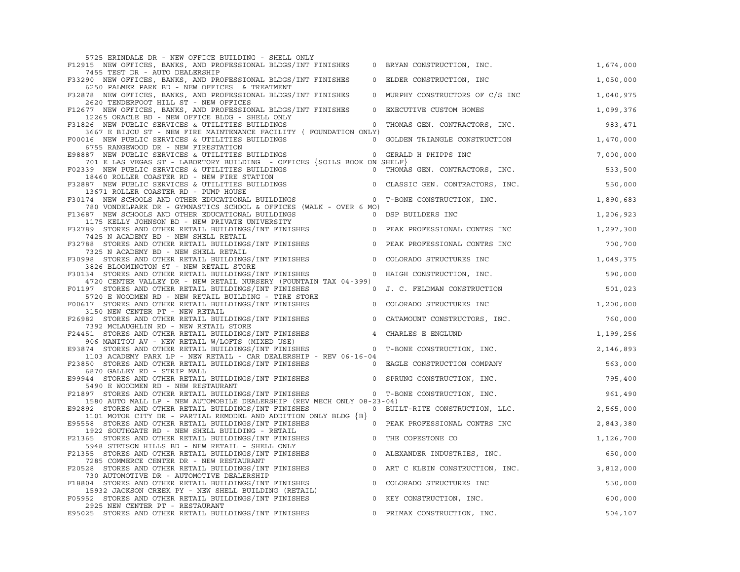| 5725 ERINDALE DR - NEW OFFICE BUILDING - SHELL ONLY                                                                                                                                                           |                                      |           |
|---------------------------------------------------------------------------------------------------------------------------------------------------------------------------------------------------------------|--------------------------------------|-----------|
| F12915 NEW OFFICES, BANKS, AND PROFESSIONAL BLDGS/INT FINISHES                                                                                                                                                | 0 BRYAN CONSTRUCTION, INC.           | 1,674,000 |
| 7455 TEST DR - AUTO DEALERSHIP<br>F33290 NEW OFFICES, BANKS, AND PROFESSIONAL BLDGS/INT FINISHES                                                                                                              | 0 ELDER CONSTRUCTION, INC            | 1,050,000 |
| 6250 PALMER PARK BD - NEW OFFICES & TREATMENT<br>F32878 NEW OFFICES, BANKS, AND PROFESSIONAL BLDGS/INT FINISHES                                                                                               | 0 MURPHY CONSTRUCTORS OF C/S INC     | 1,040,975 |
| 2620 TENDERFOOT HILL ST - NEW OFFICES<br>F12677 NEW OFFICES, BANKS, AND PROFESSIONAL BLDGS/INT FINISHES<br>$\circ$                                                                                            | EXECUTIVE CUSTOM HOMES               | 1,099,376 |
| 12265 ORACLE BD - NEW OFFICE BLDG - SHELL ONLY<br>F31826 NEW PUBLIC SERVICES & UTILITIES BUILDINGS<br>$\circ$                                                                                                 | THOMAS GEN. CONTRACTORS, INC.        | 983,471   |
| 3667 E BIJOU ST - NEW FIRE MAINTENANCE FACILITY ( FOUNDATION ONLY)<br>F00016 NEW PUBLIC SERVICES & UTILITIES BUILDINGS                                                                                        | 0 GOLDEN TRIANGLE CONSTRUCTION       | 1,470,000 |
| 6755 RANGEWOOD DR - NEW FIRESTATION                                                                                                                                                                           |                                      |           |
| E98887 NEW PUBLIC SERVICES & UTILITIES BUILDINGS<br>701 E LAS VEGAS ST - LABORTORY BUILDING - OFFICES {SOILS BOOK ON SHELF}                                                                                   | 0 GERALD H PHIPPS INC                | 7,000,000 |
| F02339 NEW PUBLIC SERVICES & UTILITIES BUILDINGS<br>18460 ROLLER COASTER RD - NEW FIRE STATION                                                                                                                | 0 THOMAS GEN. CONTRACTORS, INC.      | 533,500   |
| F32887 NEW PUBLIC SERVICES & UTILITIES BUILDINGS                                                                                                                                                              | 0 CLASSIC GEN. CONTRACTORS, INC.     | 550,000   |
| 13671 ROLLER COASTER RD - PUMP HOUSE<br>F30174 NEW SCHOOLS AND OTHER EDUCATIONAL BUILDINGS                                                                                                                    | 0 T-BONE CONSTRUCTION, INC.          | 1,890,683 |
| 780 VONDELPARK DR - GYMNASTICS SCHOOL & OFFICES (WALK - OVER 6 MO)<br>F13687 NEW SCHOOLS AND OTHER EDUCATIONAL BUILDINGS                                                                                      | 0 DSP BUILDERS INC                   | 1,206,923 |
| 1175 KELLY JOHNSON BD - NEW PRIVATE UNIVERSITY<br>F32789 STORES AND OTHER RETAIL BUILDINGS/INT FINISHES 60 PEAK PROFESSIONAL CONTRS INC                                                                       |                                      |           |
| 7425 N ACADEMY BD - NEW SHELL RETAIL                                                                                                                                                                          |                                      | 1,297,300 |
| F32788 STORES AND OTHER RETAIL BUILDINGS/INT FINISHES<br>$\circ$<br>7325 N ACADEMY BD - NEW SHELL RETAIL                                                                                                      | PEAK PROFESSIONAL CONTRS INC         | 700,700   |
| F30998 STORES AND OTHER RETAIL BUILDINGS/INT FINISHES<br>$\circ$<br>3826 BLOOMINGTON ST - NEW RETAIL STORE                                                                                                    | COLORADO STRUCTURES INC<br>1,049,375 |           |
| F30134 STORES AND OTHER RETAIL BUILDINGS/INT FINISHES                                                                                                                                                         | 0 HAIGH CONSTRUCTION, INC.           | 590,000   |
| 4720 CENTER VALLEY DR - NEW RETAIL NURSERY (FOUNTAIN TAX 04-399)<br>F01197 STORES AND OTHER RETAIL BUILDINGS/INT FINISHES 6 0 J. C. FELDMAN CONSTRUCTION                                                      |                                      | 501,023   |
| 5720 E WOODMEN RD - NEW RETAIL BUILDING - TIRE STORE<br>F00617 STORES AND OTHER RETAIL BUILDINGS/INT FINISHES                                                                                                 | 0 COLORADO STRUCTURES INC            | 1,200,000 |
| 3150 NEW CENTER PT - NEW RETAIL<br>F26982 STORES AND OTHER RETAIL BUILDINGS/INT FINISHES                                                                                                                      | 0 CATAMOUNT CONSTRUCTORS, INC.       | 760,000   |
| 7392 MCLAUGHLIN RD - NEW RETAIL STORE<br>$\overline{4}$<br>F24451 STORES AND OTHER RETAIL BUILDINGS/INT FINISHES                                                                                              | CHARLES E ENGLUND                    | 1,199,256 |
| 906 MANITOU AV - NEW RETAIL W/LOFTS (MIXED USE)                                                                                                                                                               |                                      |           |
| FROM SUG MANITOURY - NEW KEIALL W/DOLTS (INLER VOR)<br>E93874 STORES AND OTHER RETAIL BUILDINGS/INT FINISHES 0 T-BONE CONSTRUCTION, INC.<br>1103 ACADEMY PARK LP - NEW RETAIL - CAR DEALERSHIP - REV 06-16-04 |                                      | 2,146,893 |
| F23850 STORES AND OTHER RETAIL BUILDINGS/INT FINISHES<br>6870 GALLEY RD - STRIP MALL                                                                                                                          | 0 EAGLE CONSTRUCTION COMPANY         | 563,000   |
| E99944 STORES AND OTHER RETAIL BUILDINGS/INT FINISHES<br>5490 E WOODMEN RD - NEW RESTAURANT                                                                                                                   | 0 SPRUNG CONSTRUCTION, INC.          | 795,400   |
| F21897 STORES AND OTHER RETAIL BUILDINGS/INT FINISHES                                                                                                                                                         | 0 T-BONE CONSTRUCTION, INC.          | 961,490   |
| 1580 AUTO MALL LP - NEW AUTOMOBILE DEALERSHIP (REV MECH ONLY 08-23-04)<br>E92892 STORES AND OTHER RETAIL BUILDINGS/INT FINISHES                                                                               | 0 BUILT-RITE CONSTRUCTION, LLC.      | 2,565,000 |
| 1101 MOTOR CITY DR - PARTIAL REMODEL AND ADDITION ONLY BLDG ${B}$<br>$\mathcal{L}$<br>E95558 STORES AND OTHER RETAIL BUILDINGS/INT FINISHES                                                                   | 0 PEAK PROFESSIONAL CONTRS INC       | 2,843,380 |
| 1922 SOUTHGATE RD - NEW SHELL BUILDING - RETAIL                                                                                                                                                               |                                      |           |
| F21365 STORES AND OTHER RETAIL BUILDINGS/INT FINISHES<br>5948 STETSON HILLS BD - NEW RETAIL - SHELL ONLY                                                                                                      | 0 THE COPESTONE CO                   | 1,126,700 |
| F21355 STORES AND OTHER RETAIL BUILDINGS/INT FINISHES<br>7285 COMMERCE CENTER DR - NEW RESTAURANT                                                                                                             | 0 ALEXANDER INDUSTRIES, INC.         | 650,000   |
| F20528 STORES AND OTHER RETAIL BUILDINGS/INT FINISHES<br>$\circ$<br>730 AUTOMOTIVE DR - AUTOMOTIVE DEALERSHIP                                                                                                 | ART C KLEIN CONSTRUCTION, INC.       | 3,812,000 |
| F18804 STORES AND OTHER RETAIL BUILDINGS/INT FINISHES<br>$\circ$<br>15932 JACKSON CREEK PY - NEW SHELL BUILDING (RETAIL)                                                                                      | COLORADO STRUCTURES INC              | 550,000   |
| F05952 STORES AND OTHER RETAIL BUILDINGS/INT FINISHES                                                                                                                                                         | 0 KEY CONSTRUCTION, INC.             | 600,000   |
| 2925 NEW CENTER PT - RESTAURANT<br>E95025 STORES AND OTHER RETAIL BUILDINGS/INT FINISHES                                                                                                                      | 0 PRIMAX CONSTRUCTION, INC.          | 504,107   |
|                                                                                                                                                                                                               |                                      |           |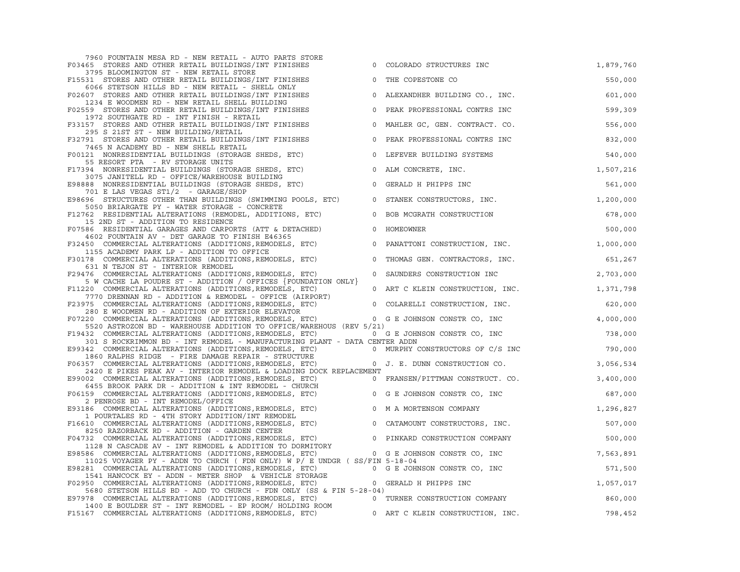| 7960 FOUNTAIN MESA RD - NEW RETAIL - AUTO PARTS STORE                                                                                                                                                                                |             |                                       |           |
|--------------------------------------------------------------------------------------------------------------------------------------------------------------------------------------------------------------------------------------|-------------|---------------------------------------|-----------|
| F03465 STORES AND OTHER RETAIL BUILDINGS/INT FINISHES                                                                                                                                                                                | $\circ$     | COLORADO STRUCTURES INC               | 1,879,760 |
| 3795 BLOOMINGTON ST - NEW RETAIL STORE<br>F15531 STORES AND OTHER RETAIL BUILDINGS/INT FINISHES                                                                                                                                      | $\circ$     | THE COPESTONE CO                      | 550,000   |
| 6066 STETSON HILLS BD - NEW RETAIL - SHELL ONLY<br>F02607 STORES AND OTHER RETAIL BUILDINGS/INT FINISHES                                                                                                                             |             | 0 ALEXANDHER BUILDING CO., INC.       | 601,000   |
| 1234 E WOODMEN RD - NEW RETAIL SHELL BUILDING<br>F02559 STORES AND OTHER RETAIL BUILDINGS/INT FINISHES                                                                                                                               | $\circ$     | PEAK PROFESSIONAL CONTRS INC          | 599,309   |
| 1972 SOUTHGATE RD - INT FINISH - RETAIL<br>F33157 STORES AND OTHER RETAIL BUILDINGS/INT FINISHES                                                                                                                                     | $\circ$     | MAHLER GC, GEN. CONTRACT. CO.         | 556,000   |
| 295 S 21ST ST - NEW BUILDING/RETAIL<br>F32791 STORES AND OTHER RETAIL BUILDINGS/INT FINISHES                                                                                                                                         | $\mathbb O$ | PEAK PROFESSIONAL CONTRS INC          | 832,000   |
| 7465 N ACADEMY BD - NEW SHELL RETAIL<br>F00121 NONRESIDENTIAL BUILDINGS (STORAGE SHEDS, ETC)                                                                                                                                         |             | 0 LEFEVER BUILDING SYSTEMS            | 540,000   |
| 55 RESORT PTA - RV STORAGE UNITS<br>F17394 NONRESIDENTIAL BUILDINGS (STORAGE SHEDS, ETC)                                                                                                                                             |             | 0 ALM CONCRETE, INC.                  | 1,507,216 |
| 3075 JANITELL RD - OFFICE/WAREHOUSE BUILDING<br>E98888 NONRESIDENTIAL BUILDINGS (STORAGE SHEDS, ETC)                                                                                                                                 | $\mathbb O$ | GERALD H PHIPPS INC                   | 561,000   |
| 701 E LAS VEGAS ST1/2 - GARAGE/SHOP<br>E98696 STRUCTURES OTHER THAN BUILDINGS (SWIMMING POOLS, ETC) 0 STANEK CONSTRUCTORS, INC. 4, 200,000<br>5050 BRIARGATE PY - WATER STORAGE - CONCRETE                                           |             |                                       |           |
| F12762 RESIDENTIAL ALTERATIONS (REMODEL, ADDITIONS, ETC) 0 BOB MCGRATH CONSTRUCTION<br>15 2ND ST - ADDITION TO RESIDENCE                                                                                                             |             |                                       | 678,000   |
| F07586 RESIDENTIAL GARAGES AND CARPORTS (ATT & DETACHED) 0 HOMEOWNER<br>4602 FOUNTAIN AV - DET GARAGE TO FINISH E46365                                                                                                               |             |                                       | 500,000   |
| F32450 COMMERCIAL ALTERATIONS (ADDITIONS, REMODELS, ETC)<br>F32450 COMMERCIAL ALTERATIONS (ADDITIONS, REMODELS, ETC) 0 PANATTONI CONSTRUCTION, INC.<br>1155 ACADEMY PARK LP - ADDITION TO OFFICE                                     |             |                                       | 1,000,000 |
| F30178 COMMERCIAL ALTERATIONS (ADDITIONS, REMODELS, ETC)<br>631 N TEJON ST - INTERIOR REMODEL                                                                                                                                        |             | 0 THOMAS GEN. CONTRACTORS, INC.       | 651,267   |
| F29476 COMMERCIAL ALTERATIONS (ADDITIONS, REMODELS, ETC)<br>5 W CACHE LA POUDRE ST - ADDITION / OFFICES {FOUNDATION ONLY}                                                                                                            |             | 0 SAUNDERS CONSTRUCTION INC 2,703,000 |           |
| F11220 COMMERCIAL ALTERATIONS (ADDITIONS, REMODELS, ETC)<br>7770 DRENNAN RD - ADDITION & REMODEL - OFFICE (AIRPORT)                                                                                                                  |             | 0 ART C KLEIN CONSTRUCTION, INC.      | 1,371,798 |
| F23975 COMMERCIAL ALTERATIONS (ADDITIONS, REMODELS, ETC)<br>280 E WOODMEN RD - ADDITION OF EXTERIOR ELEVATOR                                                                                                                         |             | )<br>0 COLARELLI CONSTRUCTION, INC.   | 620,000   |
| F07220 COMMERCIAL ALTERATIONS (ADDITIONS, REMODELS, ETC) 0 G E JOHNSON CONSTR CO, INC                                                                                                                                                |             |                                       | 4,000,000 |
| 5520 ASTROZON BD - WAREHOUSE ADDITION TO OFFICE/WAREHOUS (REV 5/21)<br>F19432 COMMERCIAL ALTERATIONS (ADDITIONS, REMODELS, ETC)                                                                                                      |             | 0 G E JOHNSON CONSTR CO, INC          | 738,000   |
| 301 S ROCKRIMMON BD - INT REMODEL - MANUFACTURING PLANT - DATA CENTER ADDN                                                                                                                                                           |             |                                       | 790,000   |
| E99342 COMMERCIAL ALTERATIONS (ADDITIONS, REMODELS, ETC) 0 MURPHY CONSTRUCTORS OF C/S INC<br>1860 RALPHS RIDGE - FIRE DAMAGE REPAIR - STRUCTURE<br>F06357 COMMERCIAL ALTERATIONS (ADDITIONS, REMODELS, ETC) 0 J. E. DUNN CONSTRUCTIO |             |                                       | 3,056,534 |
| 2420 E PIKES PEAK AV - INTERIOR REMODEL & LOADING DOCK REPLACEMENT                                                                                                                                                                   |             |                                       |           |
| E99002 COMMERCIAL ALTERATIONS (ADDITIONS, REMODELS, ETC)<br>6455 BROOK PARK DR - ADDITION & INT REMODEL - CHURCH                                                                                                                     |             | 0 FRANSEN/PITTMAN CONSTRUCT. CO.      | 3,400,000 |
| F06159 COMMERCIAL ALTERATIONS (ADDITIONS, REMODELS, ETC)<br>2 PENROSE BD - INT REMODEL/OFFICE                                                                                                                                        |             | 0 G E JOHNSON CONSTR CO, INC          | 687,000   |
| E93186 COMMERCIAL ALTERATIONS (ADDITIONS, REMODELS, ETC)<br>1 POURTALES RD - 4TH STORY ADDITION/INT REMODEL                                                                                                                          |             | 0 M A MORTENSON COMPANY               | 1,296,827 |
| F16610 COMMERCIAL ALTERATIONS (ADDITIONS, REMODELS, ETC)<br>8250 RAZORBACK RD - ADDITION - GARDEN CENTER                                                                                                                             |             | 0 CATAMOUNT CONSTRUCTORS, INC.        | 507,000   |
| F04732 COMMERCIAL ALTERATIONS (ADDITIONS, REMODELS, ETC) 0 PINKARD CONSTRUCTION COMPANY<br>1128 N CASCADE AV - INT REMODEL & ADDITION TO DORMITORY<br>E98586 COMMERCIAL ALTERATIONS (ADDITIONS, REMODELS, ETC) 0 G E JOHNSON CONSTR  |             |                                       | 500,000   |
| 11025 VOYAGER PY - ADDN TO CHRCH ( FDN ONLY) W P/ E UNDGR ( SS/FIN 5-18-04                                                                                                                                                           |             |                                       | 7,563,891 |
| E98281 COMMERCIAL ALTERATIONS (ADDITIONS, REMODELS, ETC) 0 G E JOHNSON CONSTR CO, INC<br>1541 HANCOCK EY - ADDN - METER SHOP & VEHICLE STORAGE                                                                                       |             |                                       | 571,500   |
| F02950 COMMERCIAL ALTERATIONS (ADDITIONS, REMODELS, ETC) 0 GERALD H PHIPPS INC                                                                                                                                                       |             |                                       | 1,057,017 |
| 5680 STETSON HILLS BD - ADD TO CHURCH - FDN ONLY (SS & FIN 5-28-04)<br>E97978 COMMERCIAL ALTERATIONS (ADDITIONS, REMODELS, ETC) 0 TURNER CONSTRUCTION COMPANY                                                                        |             |                                       | 860,000   |
| 1400 E BOULDER ST - INT REMODEL - EP ROOM/ HOLDING ROOM<br>F15167 COMMERCIAL ALTERATIONS (ADDITIONS, REMODELS, ETC)                                                                                                                  |             | 0 ART C KLEIN CONSTRUCTION, INC.      | 798,452   |